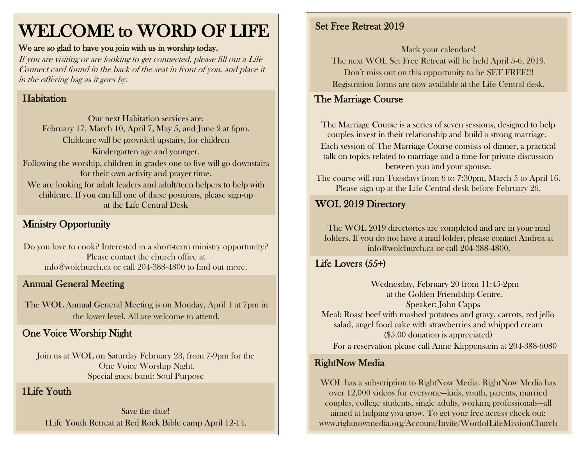## WELCOME to WORD OF LIFE

#### We are so glad to have you join with us in worship today.

If you are visiting or are looking to get connected, please fill out a Life Connect card found in the back of the seat in front of you, and place it in the offering bag as it goes by.

#### Habitation

Our next Habitation services are: February 17, March 10, April 7, May 5, and June 2 at 6pm. Childcare will be provided upstairs, for children Kindergarten age and younger. Following the worship, children in grades one to five will go downstairs for their own activity and prayer time. We are looking for adult leaders and adult/teen helpers to help with childcare. If you can fill one of these positions, please sign-up at the Life Central Desk

#### Ministry Opportunity

Do you love to cook? Interested in a short-term ministry opportunity? Please contact the church office at [info@wolchurch.ca](mailto:info@wolchurch.ca) or call 204-388-4800 to find out more.

#### Annual General Meeting

The WOL Annual General Meeting is on Monday, April 1 at 7pm in the lower level. All are welcome to attend.

#### One Voice Worship Night

Join us at WOL on Saturday February 23, from 7-9pm for the One Voice Worship Night. Special guest band: Soul Purpose

#### 1Life Youth

Save the date! 1Life Youth Retreat at Red Rock Bible camp April 12-14.

#### Set Free Retreat 2019

Mark your calendars!

The next WOL Set Free Retreat will be held April 5-6, 2019. Don't miss out on this opportunity to be SET FREE!!! Registration forms are now available at the Life Central desk.

#### The Marriage Course í

The Marriage Course is a series of seven sessions, designed to help couples invest in their relationship and build a strong marriage. Each session of The Marriage Course consists of dinner, a practical talk on topics related to marriage and a time for private discussion between you and your spouse.

The course will run Tuesdays from 6 to 7:30pm, March 5 to April 16. Please sign up at the Life Central desk before February 26.

#### WOL 2019 Directory

The WOL 2019 directories are completed and are in your mail folders. If you do not have a mail folder, please contact Andrea at [info@wolchurch.ca](mailto:info@wolchurch.ca) or call 204-388-4800.

#### Life Lovers (55+)

Wednesday, February 20 from 11:45-2pm at the Golden Friendship Centre. Speaker: John Capps Meal: Roast beef with mashed potatoes and gravy, carrots, red jello salad, angel food cake with strawberries and whipped cream (\$5.00 donation is appreciated) For a reservation please call Anne Klippenstein at 204-388-6080

#### RightNow Media

WOL has a subscription to RightNow Media. RightNow Media has over 12,000 videos for everyone—kids, youth, parents, married couples, college students, single adults, working professionals—all aimed at helping you grow. To get your free access check out: www.rightnowmedia.org/Account/Invite/WordofLifeMissionChurch